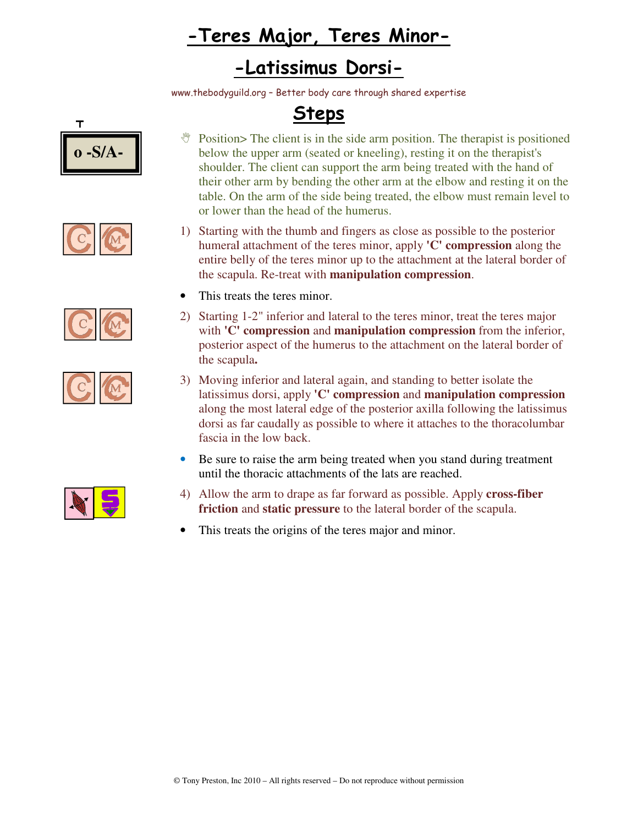# **-Teres Major, Teres Minor Teres Minor-**

### **- -Latissimus Dorsi-**

www.thebodyguild.org ww.thebodyguild.org – Better body care through shared expertise







$$
\mathbf{C} \, \overline{\mathbf{\mathfrak{C}}}
$$

|--|--|

## **Steps**

- *M* Position> The client is in the side arm position. The therapist is positioned below the upper arm (seated or kneeling), resting it on the therapist's shoulder. The client can support the arm being treated with the hand of their other arm by bending the other arm at the elbow and resting it on the table. On the arm of the side being treated, the elbow must remain level to or lower than the head of the humerus. in the side arm position. The therapist is positioned<br>eated or kneeling), resting it on the therapist's<br>n support the arm being treated with the hand of<br>ling the other arm at the elbow and resting it on the<br>e side being tr
- 1) Starting with the thumb and fingers as close as possible to the posterior table. On the arm of the side being treated, the elbow must rem<br>or lower than the head of the humerus.<br>Starting with the thumb and fingers as close as possible to the p<br>humeral attachment of the teres minor, apply **'C' com** entire belly of the teres minor up to the attachment at the lateral border of entire belly of the teres minor up to the attachment at the the scapula. Re-treat with **manipulation compression**.
- This treats the teres minor.
- 2) Starting 1 1-2" inferior and lateral to the teres minor, treat the teres major Starting 1-2" inferior and lateral to the teres minor, treat the teres major with **'C' compression** and **manipulation compression** from the inferior, posterior aspect of the humerus to the attachment on the lateral border of the scapula. the scapula
- 3) Moving inferior and lateral again, and standing to better isolate the latissimus dorsi, apply **'C' compression** and **manipulation compression** along the most lateral edge of the posterior axilla following the latissimus latissimus dorsi as far caudally as possible to where it attaches to the thoracolumbar fascia in the low back.  better<br>**pulati**<br>ollowi<br>es to th
- Be sure to raise the arm being treated when you stand during treatment until the thoracic attachments of the lats are reached.
- 4) Allow the arm to drape as far forward as possible. Apply **cross-fiber**  Be sure to raise the arm being treated when you stand during tre<br>
until the thoracic attachments of the lats are reached.<br>
Allow the arm to drape as far forward as possible. Apply **cross-**<br> **friction** and **static pressure**
- This treats the origins of the teres major and minor.